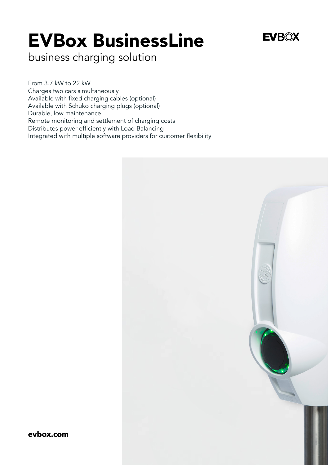## EVBox BusinessLine

## **EVROX**

business charging solution

From 3.7 kW to 22 kW Charges two cars simultaneously Available with fixed charging cables (optional) Available with Schuko charging plugs (optional) Durable, low maintenance Remote monitoring and settlement of charging costs Distributes power efficiently with Load Balancing Integrated with multiple software providers for customer flexibility



evbox.com